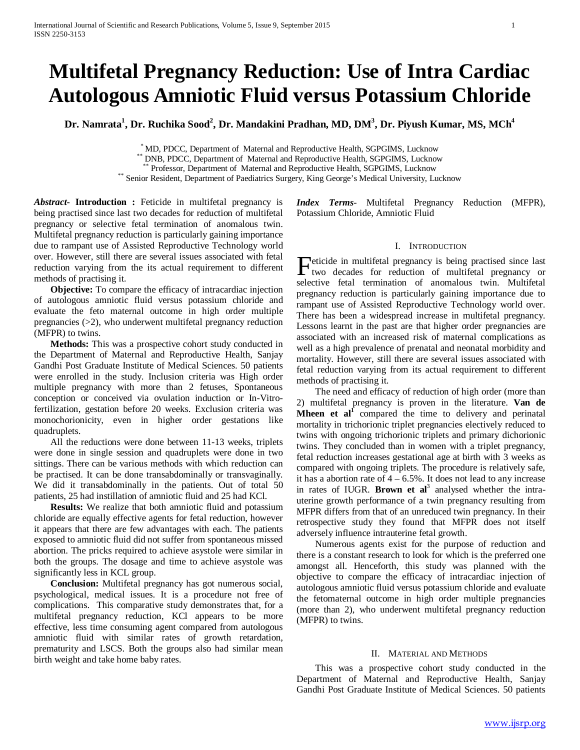# **Multifetal Pregnancy Reduction: Use of Intra Cardiac Autologous Amniotic Fluid versus Potassium Chloride**

Dr. Namrata<sup>1</sup>, Dr. Ruchika Sood<sup>2</sup>, Dr. Mandakini Pradhan, MD, DM<sup>3</sup>, Dr. Piyush Kumar, MS, MCh<sup>4</sup>

\* MD, PDCC, Department of Maternal and Reproductive Health, SGPGIMS, Lucknow<br>\*\* DNB, PDCC, Department of Maternal and Reproductive Health, SGPGIMS, Lucknow<br>\*\* Professor, Department of Maternal and Reproductive Health, SGPG

*Abstract***- Introduction :** Feticide in multifetal pregnancy is being practised since last two decades for reduction of multifetal pregnancy or selective fetal termination of anomalous twin. Multifetal pregnancy reduction is particularly gaining importance due to rampant use of Assisted Reproductive Technology world over. However, still there are several issues associated with fetal reduction varying from the its actual requirement to different methods of practising it.

**Objective:** To compare the efficacy of intracardiac injection of autologous amniotic fluid versus potassium chloride and evaluate the feto maternal outcome in high order multiple pregnancies (>2), who underwent multifetal pregnancy reduction (MFPR) to twins.

 **Methods:** This was a prospective cohort study conducted in the Department of Maternal and Reproductive Health, Sanjay Gandhi Post Graduate Institute of Medical Sciences. 50 patients were enrolled in the study. Inclusion criteria was High order multiple pregnancy with more than 2 fetuses, Spontaneous conception or conceived via ovulation induction or In-Vitrofertilization, gestation before 20 weeks. Exclusion criteria was monochorionicity, even in higher order gestations like quadruplets.

All the reductions were done between 11-13 weeks, triplets were done in single session and quadruplets were done in two sittings. There can be various methods with which reduction can be practised. It can be done transabdominally or transvaginally. We did it transabdominally in the patients. Out of total 50 patients, 25 had instillation of amniotic fluid and 25 had KCl.

 **Results:** We realize that both amniotic fluid and potassium chloride are equally effective agents for fetal reduction, however it appears that there are few advantages with each. The patients exposed to amniotic fluid did not suffer from spontaneous missed abortion. The pricks required to achieve asystole were similar in both the groups. The dosage and time to achieve asystole was significantly less in KCL group.

 **Conclusion:** Multifetal pregnancy has got numerous social, psychological, medical issues. It is a procedure not free of complications. This comparative study demonstrates that, for a multifetal pregnancy reduction, KCl appears to be more effective, less time consuming agent compared from autologous amniotic fluid with similar rates of growth retardation, prematurity and LSCS. Both the groups also had similar mean birth weight and take home baby rates.

*Index Terms*- Multifetal Pregnancy Reduction (MFPR), Potassium Chloride, Amniotic Fluid

## I. INTRODUCTION

eticide in multifetal pregnancy is being practised since last Feticide in multifetal pregnancy is being practised since last<br>two decades for reduction of multifetal pregnancy or selective fetal termination of anomalous twin. Multifetal pregnancy reduction is particularly gaining importance due to rampant use of Assisted Reproductive Technology world over. There has been a widespread increase in multifetal pregnancy. Lessons learnt in the past are that higher order pregnancies are associated with an increased risk of maternal complications as well as a high prevalence of prenatal and neonatal morbidity and mortality. However, still there are several issues associated with fetal reduction varying from its actual requirement to different methods of practising it.

 The need and efficacy of reduction of high order (more than 2) multifetal pregnancy is proven in the literature. **Van de Mheen et al<sup>1</sup>** compared the time to delivery and perinatal mortality in trichorionic triplet pregnancies electively reduced to twins with ongoing trichorionic triplets and primary dichorionic twins. They concluded than in women with a triplet pregnancy, fetal reduction increases gestational age at birth with 3 weeks as compared with ongoing triplets. The procedure is relatively safe, it has a abortion rate of  $4 - 6.5\%$ . It does not lead to any increase in rates of IUGR. **Brown et al**<sup>3</sup> analysed whether the intrauterine growth performance of a twin pregnancy resulting from MFPR differs from that of an unreduced twin pregnancy. In their retrospective study they found that MFPR does not itself adversely influence intrauterine fetal growth.

 Numerous agents exist for the purpose of reduction and there is a constant research to look for which is the preferred one amongst all. Henceforth, this study was planned with the objective to compare the efficacy of intracardiac injection of autologous amniotic fluid versus potassium chloride and evaluate the fetomaternal outcome in high order multiple pregnancies (more than 2), who underwent multifetal pregnancy reduction (MFPR) to twins.

## II. MATERIAL AND METHODS

 This was a prospective cohort study conducted in the Department of Maternal and Reproductive Health, Sanjay Gandhi Post Graduate Institute of Medical Sciences. 50 patients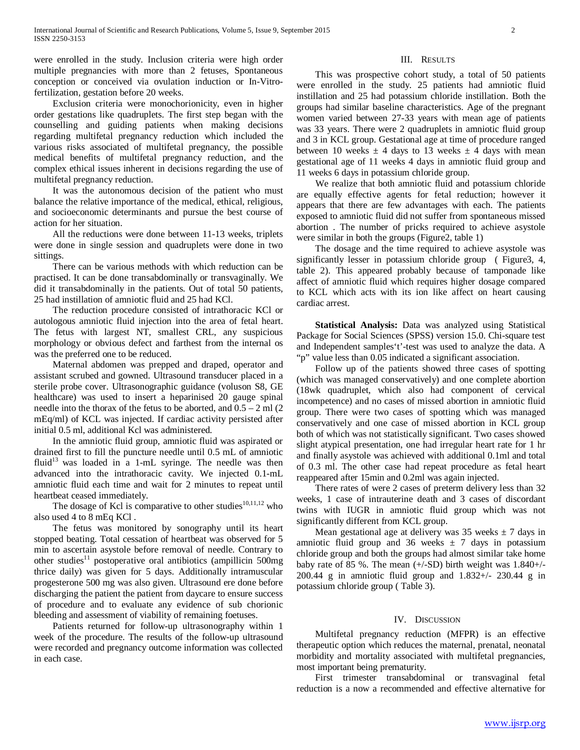were enrolled in the study. Inclusion criteria were high order multiple pregnancies with more than 2 fetuses, Spontaneous conception or conceived via ovulation induction or In-Vitrofertilization, gestation before 20 weeks.

 Exclusion criteria were monochorionicity, even in higher order gestations like quadruplets. The first step began with the counselling and guiding patients when making decisions regarding multifetal pregnancy reduction which included the various risks associated of multifetal pregnancy, the possible medical benefits of multifetal pregnancy reduction, and the complex ethical issues inherent in decisions regarding the use of multifetal pregnancy reduction.

 It was the autonomous decision of the patient who must balance the relative importance of the medical, ethical, religious, and socioeconomic determinants and pursue the best course of action for her situation.

 All the reductions were done between 11-13 weeks, triplets were done in single session and quadruplets were done in two sittings.

 There can be various methods with which reduction can be practised. It can be done transabdominally or transvaginally. We did it transabdominally in the patients. Out of total 50 patients, 25 had instillation of amniotic fluid and 25 had KCl.

 The reduction procedure consisted of intrathoracic KCl or autologous amniotic fluid injection into the area of fetal heart. The fetus with largest NT, smallest CRL, any suspicious morphology or obvious defect and farthest from the internal os was the preferred one to be reduced.

 Maternal abdomen was prepped and draped, operator and assistant scrubed and gowned. Ultrasound transducer placed in a sterile probe cover. Ultrasonographic guidance (voluson S8, GE healthcare) was used to insert a heparinised 20 gauge spinal needle into the thorax of the fetus to be aborted, and  $0.5 - 2$  ml  $(2)$ mEq/ml) of KCL was injected. If cardiac activity persisted after initial 0.5 ml, additional Kcl was administered.

 In the amniotic fluid group, amniotic fluid was aspirated or drained first to fill the puncture needle until 0.5 mL of amniotic fluid<sup>13</sup> was loaded in a 1-mL syringe. The needle was then advanced into the intrathoracic cavity. We injected 0.1-mL amniotic fluid each time and wait for 2 minutes to repeat until heartbeat ceased immediately.

The dosage of Kcl is comparative to other studies<sup>10,11,12</sup> who also used 4 to 8 mEq KCl .

 The fetus was monitored by sonography until its heart stopped beating. Total cessation of heartbeat was observed for 5 min to ascertain asystole before removal of needle. Contrary to other studies<sup>11</sup> postoperative oral antibiotics (ampillicin 500mg thrice daily) was given for 5 days. Additionally intramuscular progesterone 500 mg was also given. Ultrasound ere done before discharging the patient the patient from daycare to ensure success of procedure and to evaluate any evidence of sub chorionic bleeding and assessment of viability of remaining foetuses.

 Patients returned for follow-up ultrasonography within 1 week of the procedure. The results of the follow-up ultrasound were recorded and pregnancy outcome information was collected in each case.

#### III. RESULTS

 This was prospective cohort study, a total of 50 patients were enrolled in the study. 25 patients had amniotic fluid instillation and 25 had potassium chloride instillation. Both the groups had similar baseline characteristics. Age of the pregnant women varied between 27-33 years with mean age of patients was 33 years. There were 2 quadruplets in amniotic fluid group and 3 in KCL group. Gestational age at time of procedure ranged between 10 weeks  $\pm$  4 days to 13 weeks  $\pm$  4 days with mean gestational age of 11 weeks 4 days in amniotic fluid group and 11 weeks 6 days in potassium chloride group.

 We realize that both amniotic fluid and potassium chloride are equally effective agents for fetal reduction; however it appears that there are few advantages with each. The patients exposed to amniotic fluid did not suffer from spontaneous missed abortion . The number of pricks required to achieve asystole were similar in both the groups (Figure2, table 1)

 The dosage and the time required to achieve asystole was significantly lesser in potassium chloride group (Figure3, 4, table 2). This appeared probably because of tamponade like affect of amniotic fluid which requires higher dosage compared to KCL which acts with its ion like affect on heart causing cardiac arrest.

 **Statistical Analysis:** Data was analyzed using Statistical Package for Social Sciences (SPSS) version 15.0. Chi-square test and Independent samples't'-test was used to analyze the data. A "p" value less than 0.05 indicated a significant association.

 Follow up of the patients showed three cases of spotting (which was managed conservatively) and one complete abortion (18wk quadruplet, which also had component of cervical incompetence) and no cases of missed abortion in amniotic fluid group. There were two cases of spotting which was managed conservatively and one case of missed abortion in KCL group both of which was not statistically significant. Two cases showed slight atypical presentation, one had irregular heart rate for 1 hr and finally asystole was achieved with additional 0.1ml and total of 0.3 ml. The other case had repeat procedure as fetal heart reappeared after 15min and 0.2ml was again injected.

 There rates of were 2 cases of preterm delivery less than 32 weeks, 1 case of intrauterine death and 3 cases of discordant twins with IUGR in amniotic fluid group which was not significantly different from KCL group.

Mean gestational age at delivery was 35 weeks  $\pm$  7 days in amniotic fluid group and 36 weeks  $\pm$  7 days in potassium chloride group and both the groups had almost similar take home baby rate of 85 %. The mean  $(+/-SD)$  birth weight was  $1.840+/-$ 200.44 g in amniotic fluid group and 1.832+/- 230.44 g in potassium chloride group ( Table 3).

## IV. DISCUSSION

 Multifetal pregnancy reduction (MFPR) is an effective therapeutic option which reduces the maternal, prenatal, neonatal morbidity and mortality associated with multifetal pregnancies, most important being prematurity.

 First trimester transabdominal or transvaginal fetal reduction is a now a recommended and effective alternative for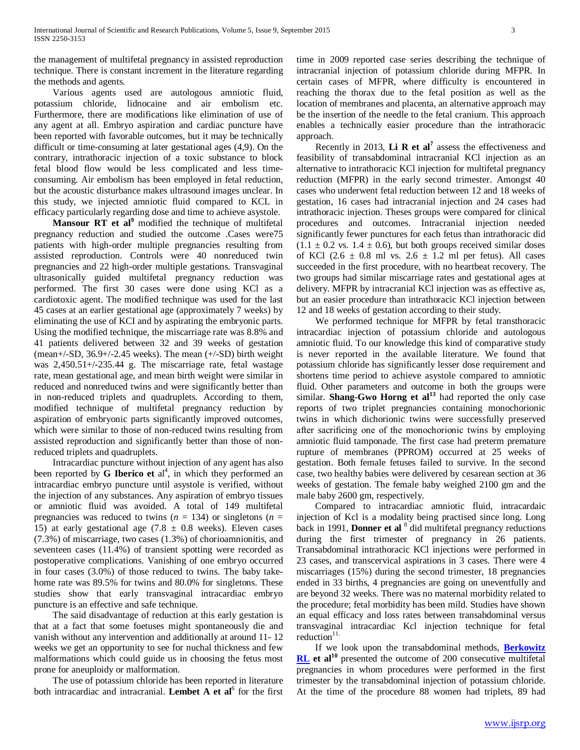the management of multifetal pregnancy in assisted reproduction technique. There is constant increment in the literature regarding the methods and agents.

 Various agents used are autologous amniotic fluid, potassium chloride, lidnocaine and air embolism etc. Furthermore, there are modifications like elimination of use of any agent at all. Embryo aspiration and cardiac puncture have been reported with favorable outcomes, but it may be technically difficult or time-consuming at later gestational ages (4,9). On the contrary, intrathoracic injection of a toxic substance to block fetal blood flow would be less complicated and less timeconsuming. Air embolism has been employed in fetal reduction, but the acoustic disturbance makes ultrasound images unclear. In this study, we injected amniotic fluid compared to KCL in efficacy particularly regarding dose and time to achieve asystole.

 **Mansour RT et al<sup>9</sup>** modified the technique of multifetal pregnancy reduction and studied the outcome .Cases were75 patients with high-order multiple pregnancies resulting from assisted reproduction. Controls were 40 nonreduced twin pregnancies and 22 high-order multiple gestations. Transvaginal ultrasonically guided multifetal pregnancy reduction was performed. The first 30 cases were done using KCl as a cardiotoxic agent. The modified technique was used for the last 45 cases at an earlier gestational age (approximately 7 weeks) by eliminating the use of KCI and by aspirating the embryonic parts. Using the modified technique, the miscarriage rate was 8.8% and 41 patients delivered between 32 and 39 weeks of gestation (mean+/-SD,  $36.9+/-2.45$  weeks). The mean  $(+/-SD)$  birth weight was 2,450.51+/-235.44 g. The miscarriage rate, fetal wastage rate, mean gestational age, and mean birth weight were similar in reduced and nonreduced twins and were significantly better than in non-reduced triplets and quadruplets. According to them, modified technique of multifetal pregnancy reduction by aspiration of embryonic parts significantly improved outcomes, which were similar to those of non-reduced twins resulting from assisted reproduction and significantly better than those of nonreduced triplets and quadruplets.

 Intracardiac puncture without injection of any agent has also been reported by G Iberico et al<sup>4</sup>, in which they performed an intracardiac embryo puncture until asystole is verified, without the injection of any substances. Any aspiration of embryo tissues or amniotic fluid was avoided. A total of 149 multifetal pregnancies was reduced to twins  $(n = 134)$  or singletons  $(n = 134)$ 15) at early gestational age  $(7.8 \pm 0.8 \text{ weeks})$ . Eleven cases (7.3%) of miscarriage, two cases (1.3%) of chorioamnionitis, and seventeen cases (11.4%) of transient spotting were recorded as postoperative complications. Vanishing of one embryo occurred in four cases (3.0%) of those reduced to twins. The baby takehome rate was 89.5% for twins and 80.0% for singletons. These studies show that early transvaginal intracardiac embryo puncture is an effective and safe technique.

 The said disadvantage of reduction at this early gestation is that at a fact that some foetuses might spontaneously die and vanish without any intervention and additionally at around 11- 12 weeks we get an opportunity to see for nuchal thickness and few malformations which could guide us in choosing the fetus most prone for aneuploidy or malformation.

 The use of potassium chloride has been reported in literature both intracardiac and intracranial. **Lembet A et al**<sup>6</sup> for the first

time in 2009 reported case series describing the technique of intracranial injection of potassium chloride during MFPR. In certain cases of MFPR, where difficulty is encountered in reaching the thorax due to the fetal position as well as the location of membranes and placenta, an alternative approach may be the insertion of the needle to the fetal cranium. This approach enables a technically easier procedure than the intrathoracic approach.

Recently in 2013, **Li R et al<sup>7</sup>** assess the effectiveness and feasibility of transabdominal intracranial KCl injection as an alternative to intrathoracic KCl injection for multifetal pregnancy reduction (MFPR) in the early second trimester. Amongst 40 cases who underwent fetal reduction between 12 and 18 weeks of gestation, 16 cases had intracranial injection and 24 cases had intrathoracic injection. Theses groups were compared for clinical procedures and outcomes. Intracranial injection needed significantly fewer punctures for each fetus than intrathoracic did  $(1.1 \pm 0.2 \text{ vs. } 1.4 \pm 0.6)$ , but both groups received similar doses of KCl  $(2.6 \pm 0.8 \text{ ml vs. } 2.6 \pm 1.2 \text{ ml per fetus})$ . All cases succeeded in the first procedure, with no heartbeat recovery. The two groups had similar miscarriage rates and gestational ages at delivery. MFPR by intracranial KCl injection was as effective as, but an easier procedure than intrathoracic KCl injection between 12 and 18 weeks of gestation according to their study.

 We performed technique for MFPR by fetal transthoracic intracardiac injection of potassium chloride and autologous amniotic fluid. To our knowledge this kind of comparative study is never reported in the available literature. We found that potassium chloride has significantly lesser dose requirement and shortens time period to achieve asystole compared to amniotic fluid. Other parameters and outcome in both the groups were similar. **Shang-Gwo Horng et al<sup>13</sup>** had reported the only case reports of two triplet pregnancies containing monochorionic twins in which dichorionic twins were successfully preserved after sacrificing one of the monochorionic twins by employing amniotic fluid tamponade. The first case had preterm premature rupture of membranes (PPROM) occurred at 25 weeks of gestation. Both female fetuses failed to survive. In the second case, two healthy babies were delivered by cesarean section at 36 weeks of gestation. The female baby weighed 2100 gm and the male baby 2600 gm, respectively.

 Compared to intracardiac amniotic fluid, intracardaic injection of Kcl is a modality being practised since long. Long back in 1991, **Donner et al** <sup>8</sup> did multifetal pregnancy reductions during the first trimester of pregnancy in 26 patients. Transabdominal intrathoracic KCl injections were performed in 23 cases, and transcervical aspirations in 3 cases. There were 4 miscarriages (15%) during the second trimester, 18 pregnancies ended in 33 births, 4 pregnancies are going on uneventfully and are beyond 32 weeks. There was no maternal morbidity related to the procedure; fetal morbidity has been mild. Studies have shown an equal efficacy and loss rates between transabdominal versus transvaginal intracardiac Kcl injection technique for fetal reduction $11$ .

 If we look upon the transabdominal methods, **[Berkowitz](http://www.ncbi.nlm.nih.gov/pubmed?term=Berkowitz%20RL%5BAuthor%5D&cauthor=true&cauthor_uid=8333448)  [RL](http://www.ncbi.nlm.nih.gov/pubmed?term=Berkowitz%20RL%5BAuthor%5D&cauthor=true&cauthor_uid=8333448)** et al<sup>10</sup> presented the outcome of 200 consecutive multifetal pregnancies in whom procedures were performed in the first trimester by the transabdominal injection of potassium chloride. At the time of the procedure 88 women had triplets, 89 had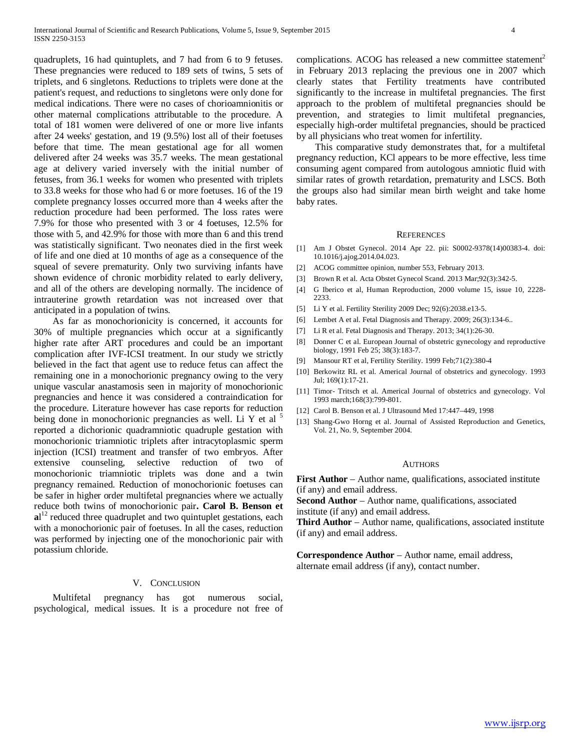quadruplets, 16 had quintuplets, and 7 had from 6 to 9 fetuses. These pregnancies were reduced to 189 sets of twins, 5 sets of triplets, and 6 singletons. Reductions to triplets were done at the patient's request, and reductions to singletons were only done for medical indications. There were no cases of chorioamnionitis or other maternal complications attributable to the procedure. A total of 181 women were delivered of one or more live infants after 24 weeks' gestation, and 19 (9.5%) lost all of their foetuses before that time. The mean gestational age for all women delivered after 24 weeks was 35.7 weeks. The mean gestational age at delivery varied inversely with the initial number of fetuses, from 36.1 weeks for women who presented with triplets to 33.8 weeks for those who had 6 or more foetuses. 16 of the 19 complete pregnancy losses occurred more than 4 weeks after the reduction procedure had been performed. The loss rates were 7.9% for those who presented with 3 or 4 foetuses, 12.5% for those with 5, and 42.9% for those with more than 6 and this trend was statistically significant. Two neonates died in the first week of life and one died at 10 months of age as a consequence of the squeal of severe prematurity. Only two surviving infants have shown evidence of chronic morbidity related to early delivery, and all of the others are developing normally. The incidence of intrauterine growth retardation was not increased over that anticipated in a population of twins.

 As far as monochorionicity is concerned, it accounts for 30% of multiple pregnancies which occur at a significantly higher rate after ART procedures and could be an important complication after IVF-ICSI treatment. In our study we strictly believed in the fact that agent use to reduce fetus can affect the remaining one in a monochorionic pregnancy owing to the very unique vascular anastamosis seen in majority of monochorionic pregnancies and hence it was considered a contraindication for the procedure. Literature however has case reports for reduction being done in monochorionic pregnancies as well. Li Y et al <sup>5</sup> reported a dichorionic quadramniotic quadruple gestation with monochorionic triamniotic triplets after intracytoplasmic sperm injection (ICSI) treatment and transfer of two embryos. After extensive counseling, selective reduction of two of monochorionic triamniotic triplets was done and a twin pregnancy remained. Reduction of monochorionic foetuses can be safer in higher order multifetal pregnancies where we actually reduce both twins of monochorionic pair**. Carol B. Benson et**  al<sup>12</sup> reduced three quadruplet and two quintuplet gestations, each with a monochorionic pair of foetuses. In all the cases, reduction was performed by injecting one of the monochorionic pair with potassium chloride.

## V. CONCLUSION

 Multifetal pregnancy has got numerous social, psychological, medical issues. It is a procedure not free of complications. ACOG has released a new committee statement<sup>2</sup> in February 2013 replacing the previous one in 2007 which clearly states that Fertility treatments have contributed significantly to the increase in multifetal pregnancies. The first approach to the problem of multifetal pregnancies should be prevention, and strategies to limit multifetal pregnancies, especially high-order multifetal pregnancies, should be practiced by all physicians who treat women for infertility.

 This comparative study demonstrates that, for a multifetal pregnancy reduction, KCl appears to be more effective, less time consuming agent compared from autologous amniotic fluid with similar rates of growth retardation, prematurity and LSCS. Both the groups also had similar mean birth weight and take home baby rates.

#### **REFERENCES**

- [1] Am J Obstet Gynecol. 2014 Apr 22. pii: S0002-9378(14)00383-4. doi: 10.1016/j.ajog.2014.04.023.
- [2] ACOG committee opinion, number 553, February 2013.
- [3] Brown R et al. Acta Obstet Gynecol Scand. 2013 Mar;92(3):342-5.
- [4] G Iberico et al, Human Reproduction, 2000 volume 15, issue 10, 2228- 2233.
- [5] Li Y et al. Fertility Sterility 2009 Dec; 92(6):2038.e13-5.
- [6] Lembet A et al. Fetal Diagnosis and Therapy. 2009; 26(3):134-6..
- [7] Li R et al. Fetal Diagnosis and Therapy. 2013; 34(1):26-30.
- [8] Donner C et al. European Journal of obstetric gynecology and reproductive biology, 1991 Feb 25; 38(3):183-7.
- [9] Mansour RT et al, Fertility Sterility. 1999 Feb;71(2):380-4
- [10] Berkowitz RL et al. Americal Journal of obstetrics and gynecology. 1993 Jul; 169(1):17-21.
- [11] Timor- Tritsch et al. Americal Journal of obstetrics and gynecology. Vol 1993 march;168(3):799-801.
- [12] Carol B. Benson et al. J Ultrasound Med 17:447–449, 1998
- [13] Shang-Gwo Horng et al. Journal of Assisted Reproduction and Genetics, Vol. 21, No. 9, September 2004.

#### AUTHORS

**First Author** – Author name, qualifications, associated institute (if any) and email address.

**Second Author** – Author name, qualifications, associated institute (if any) and email address.

**Third Author** – Author name, qualifications, associated institute (if any) and email address.

**Correspondence Author** – Author name, email address, alternate email address (if any), contact number.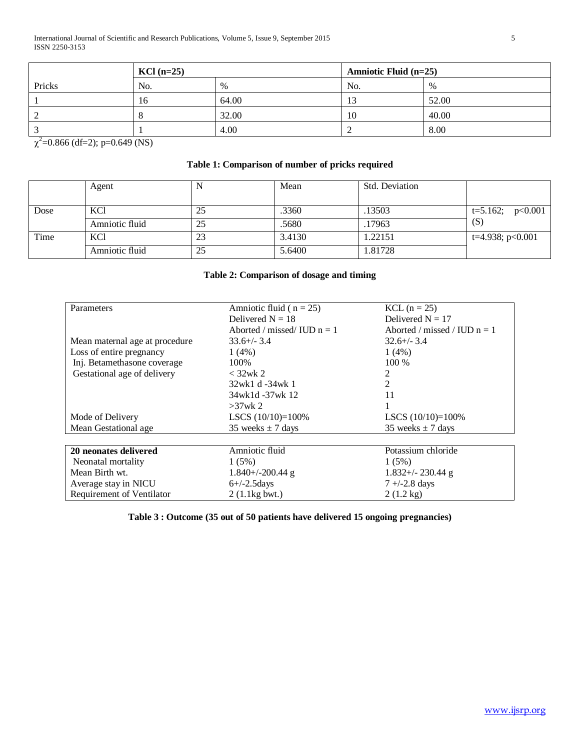|        | $KCl$ (n=25) |               | Amniotic Fluid (n=25) |       |
|--------|--------------|---------------|-----------------------|-------|
| Pricks | No.          | $\frac{0}{0}$ | No.                   | $\%$  |
|        | 16           | 64.00         | 13                    | 52.00 |
|        |              | 32.00         | 10                    | 40.00 |
|        |              | 4.00          |                       | 8.00  |

 $\chi^2$ =0.866 (df=2); p=0.649 (NS)

## **Table 1: Comparison of number of pricks required**

|      | Agent          |    | Mean   | Std. Deviation |                    |
|------|----------------|----|--------|----------------|--------------------|
|      |                |    |        |                |                    |
| Dose | KCl            | 25 | .3360  | .13503         | $t=5.162; p<0.001$ |
|      | Amniotic fluid | 25 | .5680  | .17963         | (S)                |
| Time | KCl            | 23 | 3.4130 | 1.22151        | t=4.938; $p<0.001$ |
|      | Amniotic fluid | 25 | 5.6400 | 1.81728        |                    |

## **Table 2: Comparison of dosage and timing**

| Parameters                     | Amniotic fluid ( $n = 25$ )   | $KCL$ (n = 25)                 |  |
|--------------------------------|-------------------------------|--------------------------------|--|
|                                | Delivered $N = 18$            | Delivered $N = 17$             |  |
|                                | Aborted / missed/ IUD $n = 1$ | Aborted / missed / IUD $n = 1$ |  |
| Mean maternal age at procedure | $33.6 +/- 3.4$                | $32.6 +/- 3.4$                 |  |
| Loss of entire pregnancy       | $1(4\%)$                      | $1(4\%)$                       |  |
| Inj. Betamethasone coverage    | 100%                          | $100\%$                        |  |
| Gestational age of delivery    | $<$ 32wk 2                    | 2                              |  |
|                                | 32wk1 d -34wk 1               | 2                              |  |
|                                | 34wk1d -37wk 12               | 11                             |  |
|                                | $>37$ wk 2                    |                                |  |
| Mode of Delivery               | LSCS $(10/10)=100\%$          | LSCS $(10/10)=100\%$           |  |
| Mean Gestational age           | 35 weeks $\pm$ 7 days         | 35 weeks $\pm$ 7 days          |  |
|                                |                               |                                |  |
| 20 neonates delivered          | Amniotic fluid                | Potassium chloride             |  |
| Neonatal mortality             | 1(5%)                         | 1(5%)                          |  |
| Mean Birth wt.                 | $1.840 + (-200.44)$ g         | $1.832 + (-230.44)$ g          |  |
| Average stay in NICU           | $6+/2.5$ days                 | $7 + (-2.8)$ days              |  |
| Requirement of Ventilator      | $2(1.1kg$ bwt.)               | $2(1.2 \text{ kg})$            |  |

**Table 3 : Outcome (35 out of 50 patients have delivered 15 ongoing pregnancies)**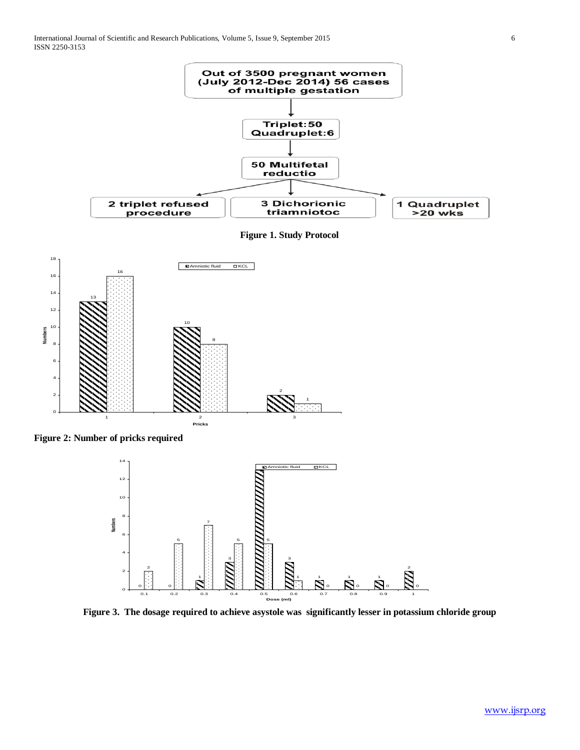

**Figure 3. The dosage required to achieve asystole was significantly lesser in potassium chloride group**